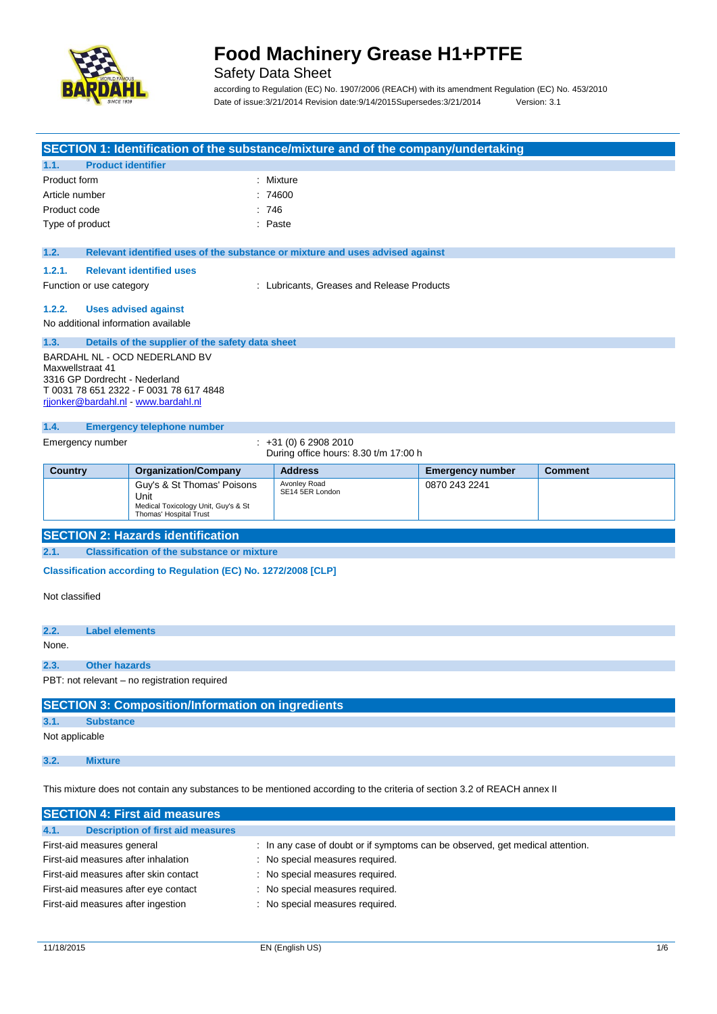

### Safety Data Sheet

according to Regulation (EC) No. 1907/2006 (REACH) with its amendment Regulation (EC) No. 453/2010 Date of issue:3/21/2014 Revision date:9/14/2015Supersedes:3/21/2014 Version: 3.1

#### **SECTION 1: Identification of the substance/mixture and of the company/undertaking**

|              | 1.1. Product identifier |           |
|--------------|-------------------------|-----------|
| Product form |                         | : Mixture |
|              | Article number          | : 74600   |
| Product code |                         | : 746     |
|              | Type of product         | : Paste   |

#### **1.2. Relevant identified uses of the substance or mixture and uses advised against**

#### **1.2.1. Relevant identified uses**

Function or use category **Exercise 20** Function or use category **in the Lubricants**, Greases and Release Products

#### **1.2.2. Uses advised against**

No additional information available

#### **1.3. Details of the supplier of the safety data sheet** BARDAHL NL - OCD NEDERLAND BV Maxwellstraat 41 3316 GP Dordrecht - Nederland T 0031 78 651 2322 - F 0031 78 617 4848 rjjonker@bardahl.nl - www.bardahl.nl

#### **1.4. Emergency telephone number**

Emergency number : +31 (0) 6 2908 2010 During office hours: 8.30 t/m 17:00 h

| <b>Country</b> | <b>Organization/Company</b>                                                                         | <b>Address</b>                  | <b>Emergency number</b> | <b>Comment</b> |
|----------------|-----------------------------------------------------------------------------------------------------|---------------------------------|-------------------------|----------------|
|                | Guy's & St Thomas' Poisons<br>Unit<br>Medical Toxicology Unit, Guy's & St<br>Thomas' Hospital Trust | Avonley Road<br>SE14 5ER London | 0870 243 2241           |                |

#### **SECTION 2: Hazards identification**

**2.1. Classification of the substance or mixture**

**Classification according to Regulation (EC) No. 1272/2008 [CLP]** 

Not classified

**2.2. Label elements** None. **2.3. Other hazards** PBT: not relevant – no registration required

#### **SECTION 3: Composition/Information on ingredients**

**3.1. Substance**

Not applicable

**3.2. Mixture**

This mixture does not contain any substances to be mentioned according to the criteria of section 3.2 of REACH annex II

| <b>SECTION 4: First aid measures</b>             |                                                                               |
|--------------------------------------------------|-------------------------------------------------------------------------------|
| <b>Description of first aid measures</b><br>4.1. |                                                                               |
| First-aid measures general                       | : In any case of doubt or if symptoms can be observed, get medical attention. |
| First-aid measures after inhalation              | : No special measures required.                                               |
| First-aid measures after skin contact            | : No special measures required.                                               |
| First-aid measures after eye contact             | : No special measures required.                                               |
| First-aid measures after ingestion               | : No special measures required.                                               |
|                                                  |                                                                               |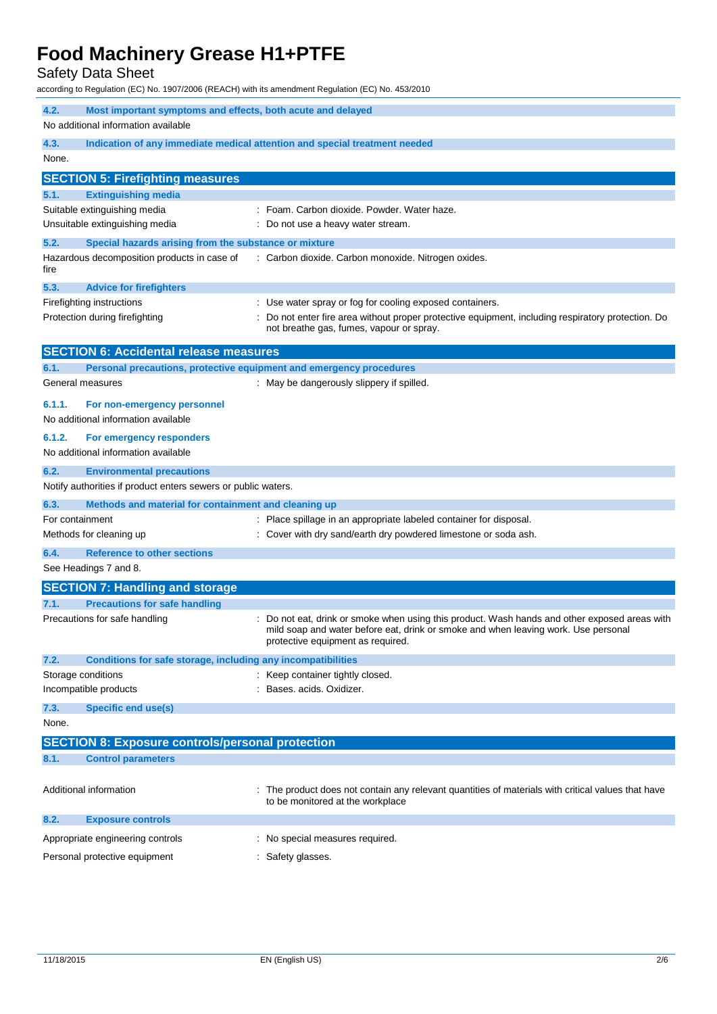Safety Data Sheet

according to Regulation (EC) No. 1907/2006 (REACH) with its amendment Regulation (EC) No. 453/2010

| 4.2.<br>Most important symptoms and effects, both acute and delayed          |                                                                                                                                                                                                                          |  |
|------------------------------------------------------------------------------|--------------------------------------------------------------------------------------------------------------------------------------------------------------------------------------------------------------------------|--|
| No additional information available                                          |                                                                                                                                                                                                                          |  |
| 4.3.<br>None.                                                                | Indication of any immediate medical attention and special treatment needed                                                                                                                                               |  |
| <b>SECTION 5: Firefighting measures</b>                                      |                                                                                                                                                                                                                          |  |
| <b>Extinguishing media</b><br>5.1.                                           |                                                                                                                                                                                                                          |  |
| Suitable extinguishing media                                                 | : Foam. Carbon dioxide. Powder. Water haze.                                                                                                                                                                              |  |
| Unsuitable extinguishing media                                               | : Do not use a heavy water stream.                                                                                                                                                                                       |  |
| 5.2.<br>Special hazards arising from the substance or mixture                |                                                                                                                                                                                                                          |  |
| Hazardous decomposition products in case of<br>fire                          | : Carbon dioxide. Carbon monoxide. Nitrogen oxides.                                                                                                                                                                      |  |
| 5.3.<br><b>Advice for firefighters</b>                                       |                                                                                                                                                                                                                          |  |
| Firefighting instructions                                                    | : Use water spray or fog for cooling exposed containers.                                                                                                                                                                 |  |
| Protection during firefighting                                               | Do not enter fire area without proper protective equipment, including respiratory protection. Do<br>not breathe gas, fumes, vapour or spray.                                                                             |  |
| <b>SECTION 6: Accidental release measures</b>                                |                                                                                                                                                                                                                          |  |
| 6.1.                                                                         | Personal precautions, protective equipment and emergency procedures                                                                                                                                                      |  |
| General measures                                                             | : May be dangerously slippery if spilled.                                                                                                                                                                                |  |
| 6.1.1.<br>For non-emergency personnel<br>No additional information available |                                                                                                                                                                                                                          |  |
| 6.1.2.<br>For emergency responders                                           |                                                                                                                                                                                                                          |  |
| No additional information available                                          |                                                                                                                                                                                                                          |  |
| 6.2.<br><b>Environmental precautions</b>                                     |                                                                                                                                                                                                                          |  |
| Notify authorities if product enters sewers or public waters.                |                                                                                                                                                                                                                          |  |
| 6.3.<br>Methods and material for containment and cleaning up                 |                                                                                                                                                                                                                          |  |
| For containment                                                              | Place spillage in an appropriate labeled container for disposal.                                                                                                                                                         |  |
| Methods for cleaning up                                                      | Cover with dry sand/earth dry powdered limestone or soda ash.                                                                                                                                                            |  |
| 6.4.<br><b>Reference to other sections</b>                                   |                                                                                                                                                                                                                          |  |
| See Headings 7 and 8.                                                        |                                                                                                                                                                                                                          |  |
| <b>SECTION 7: Handling and storage</b>                                       |                                                                                                                                                                                                                          |  |
| <b>Precautions for safe handling</b><br>7.1.                                 |                                                                                                                                                                                                                          |  |
| Precautions for safe handling                                                | : Do not eat, drink or smoke when using this product. Wash hands and other exposed areas with<br>mild soap and water before eat, drink or smoke and when leaving work. Use personal<br>protective equipment as required. |  |
| Conditions for safe storage, including any incompatibilities<br>7.2.         |                                                                                                                                                                                                                          |  |
| Storage conditions                                                           | : Keep container tightly closed.                                                                                                                                                                                         |  |
| Incompatible products                                                        | Bases. acids. Oxidizer.                                                                                                                                                                                                  |  |
| 7.3.<br>Specific end use(s)                                                  |                                                                                                                                                                                                                          |  |
| None.                                                                        |                                                                                                                                                                                                                          |  |
| <b>SECTION 8: Exposure controls/personal protection</b>                      |                                                                                                                                                                                                                          |  |
| 8.1.<br><b>Control parameters</b>                                            |                                                                                                                                                                                                                          |  |
| Additional information                                                       | The product does not contain any relevant quantities of materials with critical values that have<br>to be monitored at the workplace                                                                                     |  |
| 8.2.<br><b>Exposure controls</b>                                             |                                                                                                                                                                                                                          |  |
| Appropriate engineering controls                                             | : No special measures required.                                                                                                                                                                                          |  |
| Personal protective equipment                                                | : Safety glasses.                                                                                                                                                                                                        |  |
|                                                                              |                                                                                                                                                                                                                          |  |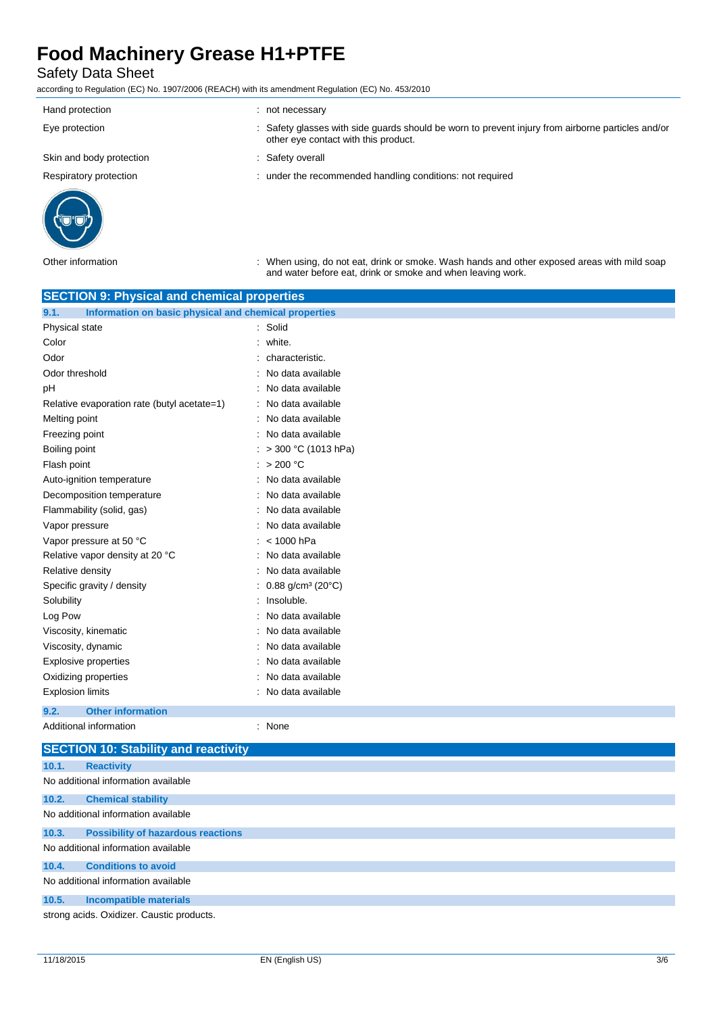### Safety Data Sheet

according to Regulation (EC) No. 1907/2006 (REACH) with its amendment Regulation (EC) No. 453/2010

| Hand protection          | not necessary                                                                                                                             |
|--------------------------|-------------------------------------------------------------------------------------------------------------------------------------------|
| Eye protection           | : Safety glasses with side guards should be worn to prevent injury from airborne particles and/or<br>other eye contact with this product. |
| Skin and body protection | Safety overall                                                                                                                            |
| Respiratory protection   | : under the recommended handling conditions: not required                                                                                 |
|                          |                                                                                                                                           |



Other information : When using, do not eat, drink or smoke. Wash hands and other exposed areas with mild soap and water before eat, drink or smoke and when leaving work.

| <b>SECTION 9: Physical and chemical properties</b>            |                                            |  |
|---------------------------------------------------------------|--------------------------------------------|--|
| Information on basic physical and chemical properties<br>9.1. |                                            |  |
| Physical state                                                | : Solid                                    |  |
| Color                                                         | white.                                     |  |
| Odor                                                          | characteristic.                            |  |
| Odor threshold                                                | No data available                          |  |
| рH                                                            | No data available                          |  |
| Relative evaporation rate (butyl acetate=1)                   | No data available                          |  |
| Melting point                                                 | No data available                          |  |
| Freezing point                                                | No data available                          |  |
| Boiling point                                                 | : > 300 °C (1013 hPa)                      |  |
| Flash point                                                   | : $>200$ °C                                |  |
| Auto-ignition temperature                                     | No data available                          |  |
| Decomposition temperature                                     | No data available                          |  |
| Flammability (solid, gas)                                     | No data available                          |  |
| Vapor pressure                                                | No data available                          |  |
| Vapor pressure at 50 °C                                       | < 1000 hPa                                 |  |
| Relative vapor density at 20 °C                               | No data available                          |  |
| Relative density                                              | No data available                          |  |
| Specific gravity / density                                    | $0.88$ g/cm <sup>3</sup> (20 $^{\circ}$ C) |  |
| Solubility                                                    | Insoluble.                                 |  |
| Log Pow                                                       | No data available                          |  |
| Viscosity, kinematic                                          | No data available                          |  |
| Viscosity, dynamic                                            | No data available                          |  |
| <b>Explosive properties</b>                                   | No data available                          |  |
| Oxidizing properties                                          | No data available                          |  |
| <b>Explosion limits</b>                                       | No data available                          |  |
| 9.2.<br><b>Other information</b>                              |                                            |  |
| Additional information                                        | : None                                     |  |

|       | <b>SECTION 10: Stability and reactivity</b> |
|-------|---------------------------------------------|
| 10.1. | <b>Reactivity</b>                           |
|       | No additional information available         |
| 10.2. | <b>Chemical stability</b>                   |
|       | No additional information available         |
| 10.3. | <b>Possibility of hazardous reactions</b>   |
|       | No additional information available         |
| 10.4. | <b>Conditions to avoid</b>                  |
|       | No additional information available         |
| 10.5. | Incompatible materials                      |
|       | strong acids. Oxidizer. Caustic products.   |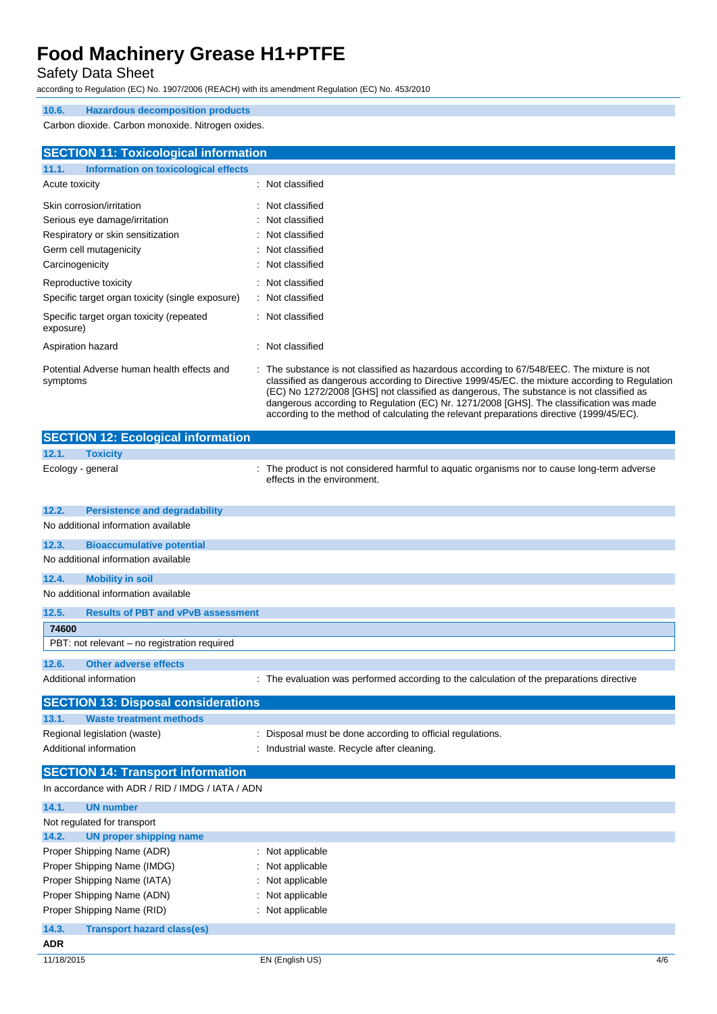Safety Data Sheet

according to Regulation (EC) No. 1907/2006 (REACH) with its amendment Regulation (EC) No. 453/2010

#### **10.6. Hazardous decomposition products**

Carbon dioxide. Carbon monoxide. Nitrogen oxides.

| <b>SECTION 11: Toxicological information</b>           |                                                                                                                                                                                                                                                                                                                                                                                                                                                                                |
|--------------------------------------------------------|--------------------------------------------------------------------------------------------------------------------------------------------------------------------------------------------------------------------------------------------------------------------------------------------------------------------------------------------------------------------------------------------------------------------------------------------------------------------------------|
| 11.1.<br>Information on toxicological effects          |                                                                                                                                                                                                                                                                                                                                                                                                                                                                                |
| Acute toxicity                                         | : Not classified                                                                                                                                                                                                                                                                                                                                                                                                                                                               |
| Skin corrosion/irritation                              | Not classified                                                                                                                                                                                                                                                                                                                                                                                                                                                                 |
| Serious eye damage/irritation                          | Not classified                                                                                                                                                                                                                                                                                                                                                                                                                                                                 |
| Respiratory or skin sensitization                      | Not classified                                                                                                                                                                                                                                                                                                                                                                                                                                                                 |
| Germ cell mutagenicity                                 | Not classified                                                                                                                                                                                                                                                                                                                                                                                                                                                                 |
| Carcinogenicity                                        | : Not classified                                                                                                                                                                                                                                                                                                                                                                                                                                                               |
| Reproductive toxicity                                  | Not classified                                                                                                                                                                                                                                                                                                                                                                                                                                                                 |
| Specific target organ toxicity (single exposure)       | : Not classified                                                                                                                                                                                                                                                                                                                                                                                                                                                               |
| Specific target organ toxicity (repeated<br>exposure)  | : Not classified                                                                                                                                                                                                                                                                                                                                                                                                                                                               |
| Aspiration hazard                                      | Not classified                                                                                                                                                                                                                                                                                                                                                                                                                                                                 |
| Potential Adverse human health effects and<br>symptoms | : The substance is not classified as hazardous according to 67/548/EEC. The mixture is not<br>classified as dangerous according to Directive 1999/45/EC, the mixture according to Regulation<br>(EC) No 1272/2008 [GHS] not classified as dangerous, The substance is not classified as<br>dangerous according to Regulation (EC) Nr. 1271/2008 [GHS]. The classification was made<br>according to the method of calculating the relevant preparations directive (1999/45/EC). |

|       | <b>SECTION 12: Ecological information</b>    |                                                                                                                          |
|-------|----------------------------------------------|--------------------------------------------------------------------------------------------------------------------------|
| 12.1. | <b>Toxicity</b>                              |                                                                                                                          |
|       | Ecology - general                            | The product is not considered harmful to aquatic organisms nor to cause long-term adverse<br>effects in the environment. |
| 12.2. | <b>Persistence and degradability</b>         |                                                                                                                          |
|       | No additional information available          |                                                                                                                          |
| 12.3. | <b>Bioaccumulative potential</b>             |                                                                                                                          |
|       | No additional information available          |                                                                                                                          |
| 12.4. | <b>Mobility in soil</b>                      |                                                                                                                          |
|       | No additional information available          |                                                                                                                          |
| 12.5. | <b>Results of PBT and vPvB assessment</b>    |                                                                                                                          |
| 74600 |                                              |                                                                                                                          |
|       | PBT: not relevant – no registration required |                                                                                                                          |
| 12.6. | Other adverse effects                        |                                                                                                                          |
|       | Additional information                       | : The evaluation was performed according to the calculation of the preparations directive                                |
|       | <b>SECTION 13: Disposal considerations</b>   |                                                                                                                          |
| 13.1. | <b>Waste treatment methods</b>               |                                                                                                                          |

| Regional legislation (waste)                     | : Disposal must be done according to official regulations. |
|--------------------------------------------------|------------------------------------------------------------|
| Additional information                           | Industrial waste. Recycle after cleaning.                  |
| <b>SECTION 14: Transport information</b>         |                                                            |
| In accordance with ADR / RID / IMDG / IATA / ADN |                                                            |

| 14.1.<br><b>UN number</b>                  |                             |     |
|--------------------------------------------|-----------------------------|-----|
| Not regulated for transport                |                             |     |
| 14.2.<br>UN proper shipping name           |                             |     |
| Proper Shipping Name (ADR)                 | $\therefore$ Not applicable |     |
| Proper Shipping Name (IMDG)                | : Not applicable            |     |
| Proper Shipping Name (IATA)                | : Not applicable            |     |
| Proper Shipping Name (ADN)                 | : Not applicable            |     |
| Proper Shipping Name (RID)                 | : Not applicable            |     |
| 14.3.<br><b>Transport hazard class(es)</b> |                             |     |
| <b>ADR</b>                                 |                             |     |
| 11/18/2015                                 | EN (English US)             | 4/6 |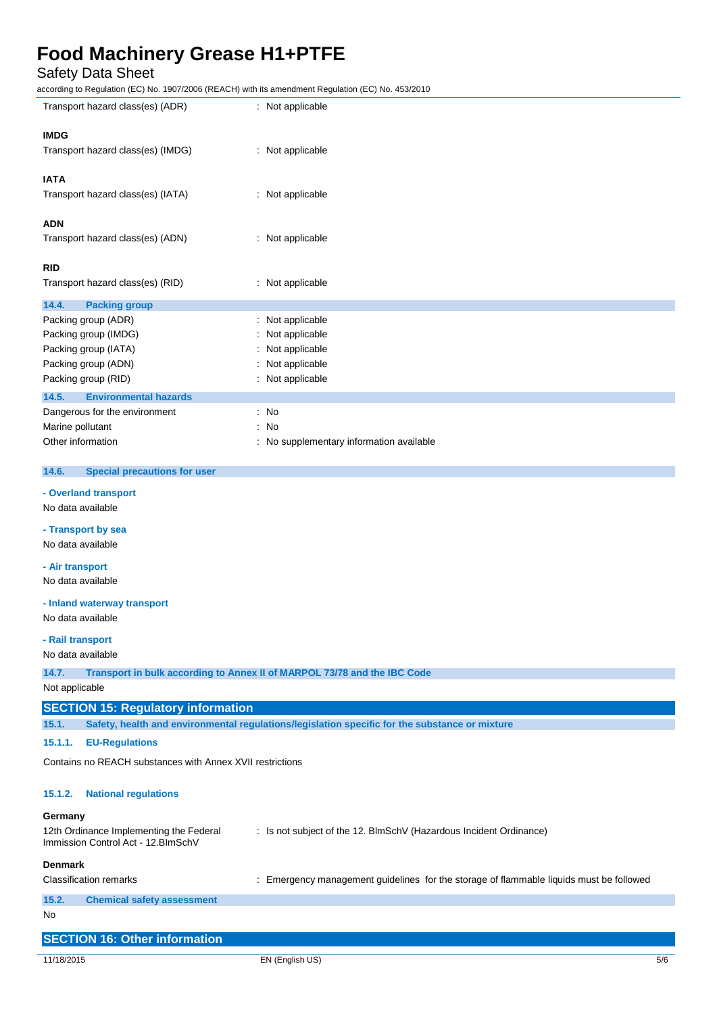### Safety Data Sheet

according to Regulation (EC) No. 1907/2006 (REACH) with its amendment Regulation (EC) No. 453/2010

| iccording to Regulation (EC) No. 1907/2000 (REACH) with its amendment Regulation (EC) No. 453/2010            |                                                                                                |  |
|---------------------------------------------------------------------------------------------------------------|------------------------------------------------------------------------------------------------|--|
| Transport hazard class(es) (ADR)                                                                              | : Not applicable                                                                               |  |
| <b>IMDG</b>                                                                                                   |                                                                                                |  |
|                                                                                                               |                                                                                                |  |
| Transport hazard class(es) (IMDG)                                                                             | : Not applicable                                                                               |  |
|                                                                                                               |                                                                                                |  |
| <b>IATA</b>                                                                                                   |                                                                                                |  |
| Transport hazard class(es) (IATA)                                                                             | : Not applicable                                                                               |  |
|                                                                                                               |                                                                                                |  |
| ADN                                                                                                           |                                                                                                |  |
|                                                                                                               |                                                                                                |  |
| Transport hazard class(es) (ADN)                                                                              | : Not applicable                                                                               |  |
|                                                                                                               |                                                                                                |  |
| <b>RID</b>                                                                                                    |                                                                                                |  |
| Transport hazard class(es) (RID)                                                                              | : Not applicable                                                                               |  |
|                                                                                                               |                                                                                                |  |
| 14.4.<br><b>Packing group</b>                                                                                 |                                                                                                |  |
| Packing group (ADR)                                                                                           | Not applicable                                                                                 |  |
| Packing group (IMDG)                                                                                          | Not applicable                                                                                 |  |
| Packing group (IATA)                                                                                          | Not applicable                                                                                 |  |
|                                                                                                               | Not applicable                                                                                 |  |
| Packing group (ADN)                                                                                           |                                                                                                |  |
| Packing group (RID)                                                                                           | : Not applicable                                                                               |  |
| <b>Environmental hazards</b><br>14.5.                                                                         |                                                                                                |  |
| Dangerous for the environment                                                                                 | : No                                                                                           |  |
| Marine pollutant                                                                                              | No<br>÷                                                                                        |  |
|                                                                                                               |                                                                                                |  |
| Other information                                                                                             | : No supplementary information available                                                       |  |
|                                                                                                               |                                                                                                |  |
| 14.6.<br><b>Special precautions for user</b>                                                                  |                                                                                                |  |
| - Overland transport                                                                                          |                                                                                                |  |
|                                                                                                               |                                                                                                |  |
| No data available                                                                                             |                                                                                                |  |
| - Transport by sea                                                                                            |                                                                                                |  |
|                                                                                                               |                                                                                                |  |
| No data available                                                                                             |                                                                                                |  |
| - Air transport                                                                                               |                                                                                                |  |
| No data available                                                                                             |                                                                                                |  |
|                                                                                                               |                                                                                                |  |
| - Inland waterway transport                                                                                   |                                                                                                |  |
| No data available                                                                                             |                                                                                                |  |
|                                                                                                               |                                                                                                |  |
| - Rail transport                                                                                              |                                                                                                |  |
| No data available                                                                                             |                                                                                                |  |
|                                                                                                               |                                                                                                |  |
| 14.7.                                                                                                         | Transport in bulk according to Annex II of MARPOL 73/78 and the IBC Code                       |  |
| Not applicable                                                                                                |                                                                                                |  |
| <b>SECTION 15: Regulatory information</b>                                                                     |                                                                                                |  |
| 15.1.                                                                                                         | Safety, health and environmental regulations/legislation specific for the substance or mixture |  |
|                                                                                                               |                                                                                                |  |
| 15.1.1.<br><b>EU-Regulations</b>                                                                              |                                                                                                |  |
| Contains no REACH substances with Annex XVII restrictions                                                     |                                                                                                |  |
|                                                                                                               |                                                                                                |  |
|                                                                                                               |                                                                                                |  |
| 15.1.2.<br><b>National regulations</b>                                                                        |                                                                                                |  |
|                                                                                                               |                                                                                                |  |
| Germany                                                                                                       |                                                                                                |  |
| 12th Ordinance Implementing the Federal<br>: Is not subject of the 12. BlmSchV (Hazardous Incident Ordinance) |                                                                                                |  |
| Immission Control Act - 12. BlmSchV                                                                           |                                                                                                |  |
| <b>Denmark</b>                                                                                                |                                                                                                |  |
| <b>Classification remarks</b>                                                                                 | : Emergency management guidelines for the storage of flammable liquids must be followed        |  |
|                                                                                                               |                                                                                                |  |
| 15.2.<br><b>Chemical safety assessment</b>                                                                    |                                                                                                |  |
| No.                                                                                                           |                                                                                                |  |
|                                                                                                               |                                                                                                |  |

| <b>SECTION 16: Other information</b> |                 |     |
|--------------------------------------|-----------------|-----|
|                                      |                 |     |
| 11/18/2015                           | EN (English US) | 5/6 |